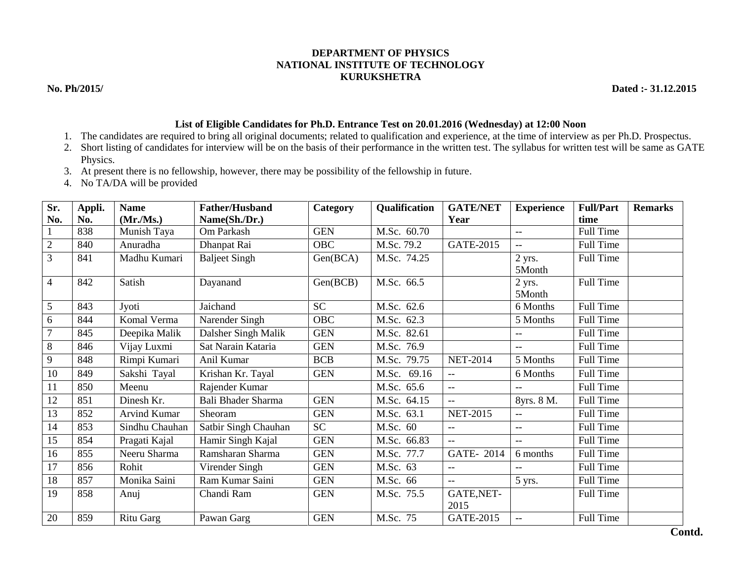## **DEPARTMENT OF PHYSICS NATIONAL INSTITUTE OF TECHNOLOGY KURUKSHETRA**

**No. Ph/2015/ Dated :- 31.12.2015**

## **List of Eligible Candidates for Ph.D. Entrance Test on 20.01.2016 (Wednesday) at 12:00 Noon**

- 1. The candidates are required to bring all original documents; related to qualification and experience, at the time of interview as per Ph.D. Prospectus.
- 2. Short listing of candidates for interview will be on the basis of their performance in the written test. The syllabus for written test will be same as GATE Physics.
- 3. At present there is no fellowship, however, there may be possibility of the fellowship in future.
- 4. No TA/DA will be provided

| Sr.            | Appli. | <b>Name</b>      | <b>Father/Husband</b> | Category   | Qualification | <b>GATE/NET</b>    | <b>Experience</b>        | <b>Full/Part</b> | <b>Remarks</b> |
|----------------|--------|------------------|-----------------------|------------|---------------|--------------------|--------------------------|------------------|----------------|
| No.            | No.    | (Mr/Ms.)         | Name(Sh./Dr.)         |            |               | Year               |                          | time             |                |
|                | 838    | Munish Taya      | Om Parkash            | <b>GEN</b> | M.Sc. 60.70   |                    | $-$                      | Full Time        |                |
| $\overline{c}$ | 840    | Anuradha         | Dhanpat Rai           | OBC        | M.Sc. 79.2    | GATE-2015          | $-$                      | Full Time        |                |
| 3              | 841    | Madhu Kumari     | Baljeet Singh         | Gen(BCA)   | M.Sc. 74.25   |                    | 2 yrs.<br>5Month         | Full Time        |                |
| 4              | 842    | Satish           | Dayanand              | Gen(BCB)   | M.Sc. 66.5    |                    | $2$ yrs.<br>5Month       | Full Time        |                |
| 5              | 843    | Jyoti            | Jaichand              | <b>SC</b>  | M.Sc. 62.6    |                    | 6 Months                 | Full Time        |                |
| 6              | 844    | Komal Verma      | Narender Singh        | <b>OBC</b> | M.Sc. 62.3    |                    | 5 Months                 | Full Time        |                |
| 7              | 845    | Deepika Malik    | Dalsher Singh Malik   | <b>GEN</b> | M.Sc. 82.61   |                    | $- -$                    | Full Time        |                |
| 8              | 846    | Vijay Luxmi      | Sat Narain Kataria    | <b>GEN</b> | M.Sc. 76.9    |                    | $\qquad \qquad -$        | <b>Full Time</b> |                |
| 9              | 848    | Rimpi Kumari     | Anil Kumar            | <b>BCB</b> | M.Sc. 79.75   | <b>NET-2014</b>    | 5 Months                 | Full Time        |                |
| 10             | 849    | Sakshi Tayal     | Krishan Kr. Tayal     | <b>GEN</b> | M.Sc. 69.16   | $\overline{a}$     | 6 Months                 | Full Time        |                |
| 11             | 850    | Meenu            | Rajender Kumar        |            | M.Sc. 65.6    |                    |                          | Full Time        |                |
| 12             | 851    | Dinesh Kr.       | Bali Bhader Sharma    | <b>GEN</b> | M.Sc. 64.15   |                    | 8yrs. 8 M.               | Full Time        |                |
| 13             | 852    | Arvind Kumar     | Sheoram               | <b>GEN</b> | M.Sc. 63.1    | <b>NET-2015</b>    | $\qquad \qquad -$        | Full Time        |                |
| 14             | 853    | Sindhu Chauhan   | Satbir Singh Chauhan  | <b>SC</b>  | M.Sc. 60      | $- -$              | $\overline{\phantom{a}}$ | Full Time        |                |
| 15             | 854    | Pragati Kajal    | Hamir Singh Kajal     | <b>GEN</b> | M.Sc. 66.83   | $--$               | $--$                     | Full Time        |                |
| 16             | 855    | Neeru Sharma     | Ramsharan Sharma      | <b>GEN</b> | M.Sc. 77.7    | GATE-2014          | 6 months                 | Full Time        |                |
| 17             | 856    | Rohit            | Virender Singh        | <b>GEN</b> | M.Sc. 63      | $- -$              | $\qquad \qquad -$        | Full Time        |                |
| 18             | 857    | Monika Saini     | Ram Kumar Saini       | <b>GEN</b> | M.Sc. 66      | $- -$              | 5 yrs.                   | Full Time        |                |
| 19             | 858    | Anuj             | Chandi Ram            | <b>GEN</b> | M.Sc. 75.5    | GATE, NET-<br>2015 |                          | Full Time        |                |
| 20             | 859    | <b>Ritu Garg</b> | Pawan Garg            | <b>GEN</b> | M.Sc. 75      | <b>GATE-2015</b>   | $\qquad \qquad -$        | Full Time        |                |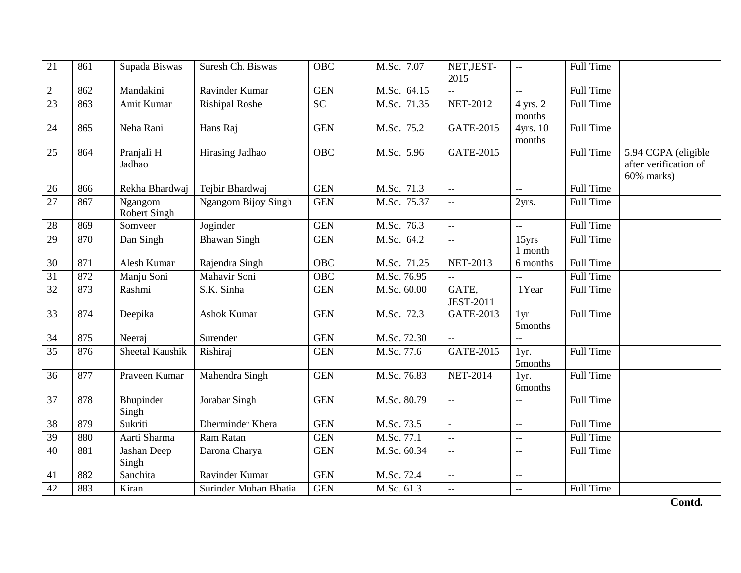| $\overline{21}$ | 861 | Supada Biswas                                       | Suresh Ch. Biswas          | <b>OBC</b>       | M.Sc. 7.07  | NET, JEST-<br>2015        | $\mathord{\hspace{1pt}\text{--}\hspace{1pt}}$ | Full Time        |                                                            |
|-----------------|-----|-----------------------------------------------------|----------------------------|------------------|-------------|---------------------------|-----------------------------------------------|------------------|------------------------------------------------------------|
| $\overline{2}$  | 862 | Mandakini                                           | Ravinder Kumar             | <b>GEN</b>       | M.Sc. 64.15 | $\overline{a}$            | $\mathord{\hspace{1pt}\text{--}\hspace{1pt}}$ | Full Time        |                                                            |
| 23              | 863 | Amit Kumar                                          | <b>Rishipal Roshe</b>      | $\overline{SC}$  | M.Sc. 71.35 | <b>NET-2012</b>           | 4 yrs. 2<br>months                            | Full Time        |                                                            |
| 24              | 865 | Neha Rani                                           | Hans Raj                   | <b>GEN</b>       | M.Sc. 75.2  | GATE-2015                 | 4yrs. 10<br>months                            | <b>Full Time</b> |                                                            |
| 25              | 864 | Pranjali H<br>Jadhao                                | Hirasing Jadhao            | <b>OBC</b>       | M.Sc. 5.96  | <b>GATE-2015</b>          |                                               | Full Time        | 5.94 CGPA (eligible<br>after verification of<br>60% marks) |
| 26              | 866 | Rekha Bhardwaj                                      | Tejbir Bhardwaj            | <b>GEN</b>       | M.Sc. 71.3  | $\overline{a}$            | $\mathord{\hspace{1pt}\text{--}\hspace{1pt}}$ | <b>Full Time</b> |                                                            |
| 27              | 867 | $\overline{\text{Ng}}$ angom<br><b>Robert Singh</b> | <b>Ngangom Bijoy Singh</b> | <b>GEN</b>       | M.Sc. 75.37 | ΞĒ,                       | 2yrs.                                         | <b>Full Time</b> |                                                            |
| 28              | 869 | Somveer                                             | Joginder                   | <b>GEN</b>       | M.Sc. 76.3  | $\overline{a}$            | $\mathbb{L}^{\mathbb{L}}$                     | Full Time        |                                                            |
| $\overline{29}$ | 870 | Dan Singh                                           | <b>Bhawan Singh</b>        | <b>GEN</b>       | M.Sc. 64.2  | $\overline{a}$            | $15$ yrs<br>1 month                           | Full Time        |                                                            |
| 30              | 871 | <b>Alesh Kumar</b>                                  | Rajendra Singh             | $\overline{OBC}$ | M.Sc. 71.25 | <b>NET-2013</b>           | 6 months                                      | <b>Full Time</b> |                                                            |
| 31              | 872 | Manju Soni                                          | Mahavir Soni               | <b>OBC</b>       | M.Sc. 76.95 | $\overline{\phantom{a}}$  | $\mathord{\hspace{1pt}\text{--}\hspace{1pt}}$ | <b>Full Time</b> |                                                            |
| 32              | 873 | Rashmi                                              | S.K. Sinha                 | <b>GEN</b>       | M.Sc. 60.00 | GATE,<br><b>JEST-2011</b> | 1Year                                         | <b>Full Time</b> |                                                            |
| 33              | 874 | Deepika                                             | <b>Ashok Kumar</b>         | <b>GEN</b>       | M.Sc. 72.3  | GATE-2013                 | 1yr<br>5months                                | <b>Full Time</b> |                                                            |
| 34              | 875 | Neeraj                                              | Surender                   | <b>GEN</b>       | M.Sc. 72.30 | $\overline{a}$            |                                               |                  |                                                            |
| 35              | 876 | Sheetal Kaushik                                     | Rishiraj                   | <b>GEN</b>       | M.Sc. 77.6  | <b>GATE-2015</b>          | 1yr.<br>5months                               | Full Time        |                                                            |
| 36              | 877 | Praveen Kumar                                       | Mahendra Singh             | <b>GEN</b>       | M.Sc. 76.83 | <b>NET-2014</b>           | 1yr.<br><b>6months</b>                        | Full Time        |                                                            |
| 37              | 878 | Bhupinder<br>Singh                                  | Jorabar Singh              | <b>GEN</b>       | M.Sc. 80.79 | $\overline{a}$            | $\overline{a}$                                | <b>Full Time</b> |                                                            |
| 38              | 879 | Sukriti                                             | Dherminder Khera           | <b>GEN</b>       | M.Sc. 73.5  |                           | $-$                                           | Full Time        |                                                            |
| 39              | 880 | Aarti Sharma                                        | Ram Ratan                  | <b>GEN</b>       | M.Sc. 77.1  | ш.,                       | $\overline{a}$                                | <b>Full Time</b> |                                                            |
| 40              | 881 | Jashan Deep<br>Singh                                | Darona Charya              | <b>GEN</b>       | M.Sc. 60.34 | ш.,                       | $\overline{\phantom{m}}$                      | Full Time        |                                                            |
| 41              | 882 | Sanchita                                            | Ravinder Kumar             | <b>GEN</b>       | M.Sc. 72.4  | ш.,                       | $- -$                                         |                  |                                                            |
| 42              | 883 | Kiran                                               | Surinder Mohan Bhatia      | <b>GEN</b>       | M.Sc. 61.3  | ΞĒ,                       | $\sim$                                        | Full Time        |                                                            |
|                 |     |                                                     |                            |                  |             |                           |                                               |                  | Contd.                                                     |